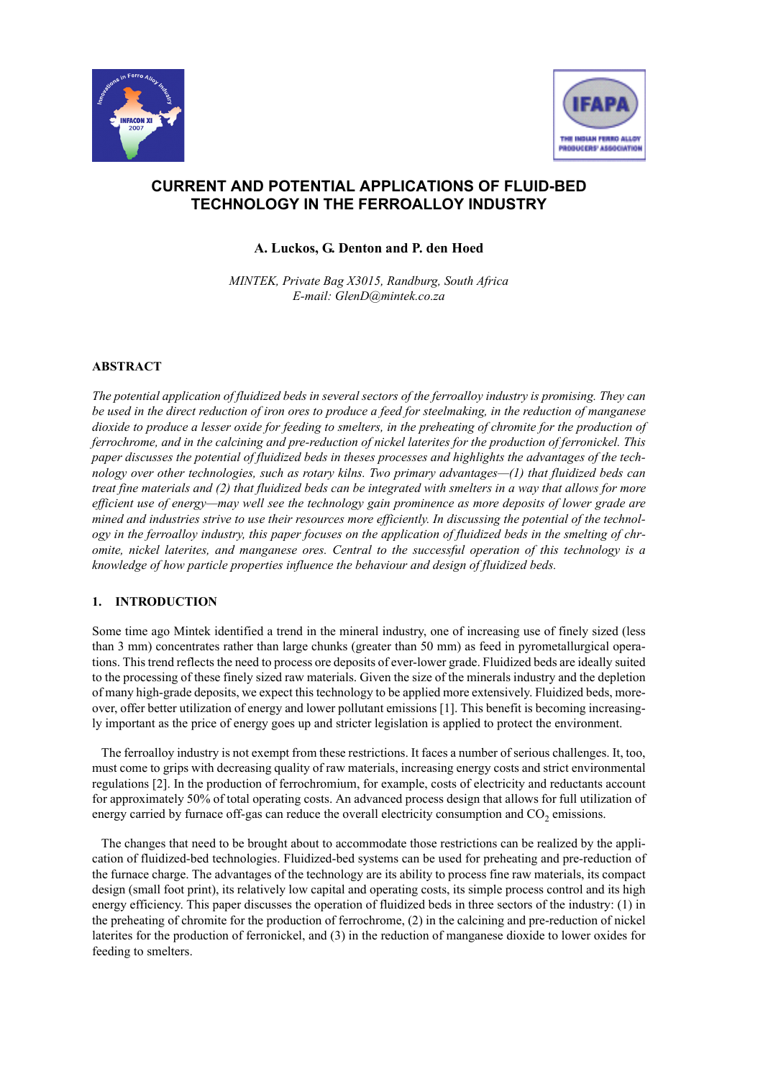



# **CURRENT AND POTENTIAL APPLICATIONS OF FLUID-BED TECHNOLOGY IN THE FERROALLOY INDUSTRY**

**A. Luckos, G. Denton and P. den Hoed**

*MINTEK, Private Bag X3015, Randburg, South Africa E-mail: GlenD@mintek.co.za*

# **ABSTRACT**

*The potential application of fluidized beds in several sectors of the ferroalloy industry is promising. They can be used in the direct reduction of iron ores to produce a feed for steelmaking, in the reduction of manganese dioxide to produce a lesser oxide for feeding to smelters, in the preheating of chromite for the production of ferrochrome, and in the calcining and pre-reduction of nickel laterites for the production of ferronickel. This paper discusses the potential of fluidized beds in theses processes and highlights the advantages of the technology over other technologies, such as rotary kilns. Two primary advantages—(1) that fluidized beds can treat fine materials and (2) that fluidized beds can be integrated with smelters in a way that allows for more efficient use of energy—may well see the technology gain prominence as more deposits of lower grade are mined and industries strive to use their resources more efficiently. In discussing the potential of the technology in the ferroalloy industry, this paper focuses on the application of fluidized beds in the smelting of chromite, nickel laterites, and manganese ores. Central to the successful operation of this technology is a knowledge of how particle properties influence the behaviour and design of fluidized beds.*

# **1. INTRODUCTION**

Some time ago Mintek identified a trend in the mineral industry, one of increasing use of finely sized (less than 3 mm) concentrates rather than large chunks (greater than 50 mm) as feed in pyrometallurgical operations. This trend reflects the need to process ore deposits of ever-lower grade. Fluidized beds are ideally suited to the processing of these finely sized raw materials. Given the size of the minerals industry and the depletion of many high-grade deposits, we expect this technology to be applied more extensively. Fluidized beds, moreover, offer better utilization of energy and lower pollutant emissions [1]. This benefit is becoming increasingly important as the price of energy goes up and stricter legislation is applied to protect the environment.

The ferroalloy industry is not exempt from these restrictions. It faces a number of serious challenges. It, too, must come to grips with decreasing quality of raw materials, increasing energy costs and strict environmental regulations [2]. In the production of ferrochromium, for example, costs of electricity and reductants account for approximately 50% of total operating costs. An advanced process design that allows for full utilization of energy carried by furnace off-gas can reduce the overall electricity consumption and  $CO<sub>2</sub>$  emissions.

The changes that need to be brought about to accommodate those restrictions can be realized by the application of fluidized-bed technologies. Fluidized-bed systems can be used for preheating and pre-reduction of the furnace charge. The advantages of the technology are its ability to process fine raw materials, its compact design (small foot print), its relatively low capital and operating costs, its simple process control and its high energy efficiency. This paper discusses the operation of fluidized beds in three sectors of the industry: (1) in the preheating of chromite for the production of ferrochrome, (2) in the calcining and pre-reduction of nickel laterites for the production of ferronickel, and (3) in the reduction of manganese dioxide to lower oxides for feeding to smelters.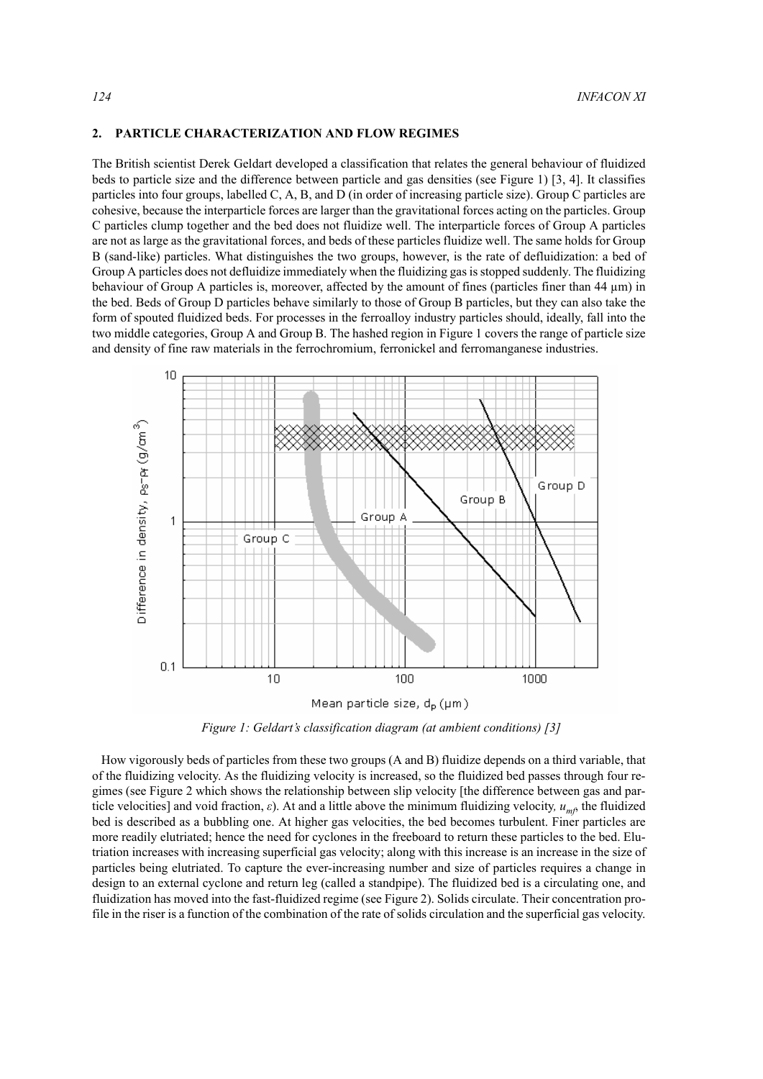## **2. PARTICLE CHARACTERIZATION AND FLOW REGIMES**

The British scientist Derek Geldart developed a classification that relates the general behaviour of fluidized beds to particle size and the difference between particle and gas densities (see Figure 1) [3, 4]. It classifies particles into four groups, labelled C, A, B, and D (in order of increasing particle size). Group C particles are cohesive, because the interparticle forces are larger than the gravitational forces acting on the particles. Group C particles clump together and the bed does not fluidize well. The interparticle forces of Group A particles are not as large as the gravitational forces, and beds of these particles fluidize well. The same holds for Group B (sand-like) particles. What distinguishes the two groups, however, is the rate of defluidization: a bed of Group A particles does not defluidize immediately when the fluidizing gas is stopped suddenly. The fluidizing behaviour of Group A particles is, moreover, affected by the amount of fines (particles finer than  $44 \mu m$ ) in the bed. Beds of Group D particles behave similarly to those of Group B particles, but they can also take the form of spouted fluidized beds. For processes in the ferroalloy industry particles should, ideally, fall into the two middle categories, Group A and Group B. The hashed region in Figure 1 covers the range of particle size and density of fine raw materials in the ferrochromium, ferronickel and ferromanganese industries.



Mean particle size, d<sub>p</sub> (µm)

*Figure 1: Geldart's classification diagram (at ambient conditions) [3]*

How vigorously beds of particles from these two groups (A and B) fluidize depends on a third variable, that of the fluidizing velocity. As the fluidizing velocity is increased, so the fluidized bed passes through four regimes (see Figure 2 which shows the relationship between slip velocity [the difference between gas and particle velocities] and void fraction, *ε*). At and a little above the minimum fluidizing velocity*, umf*, the fluidized bed is described as a bubbling one. At higher gas velocities, the bed becomes turbulent. Finer particles are more readily elutriated; hence the need for cyclones in the freeboard to return these particles to the bed. Elutriation increases with increasing superficial gas velocity; along with this increase is an increase in the size of particles being elutriated. To capture the ever-increasing number and size of particles requires a change in design to an external cyclone and return leg (called a standpipe). The fluidized bed is a circulating one, and fluidization has moved into the fast-fluidized regime (see Figure 2). Solids circulate. Their concentration profile in the riser is a function of the combination of the rate of solids circulation and the superficial gas velocity.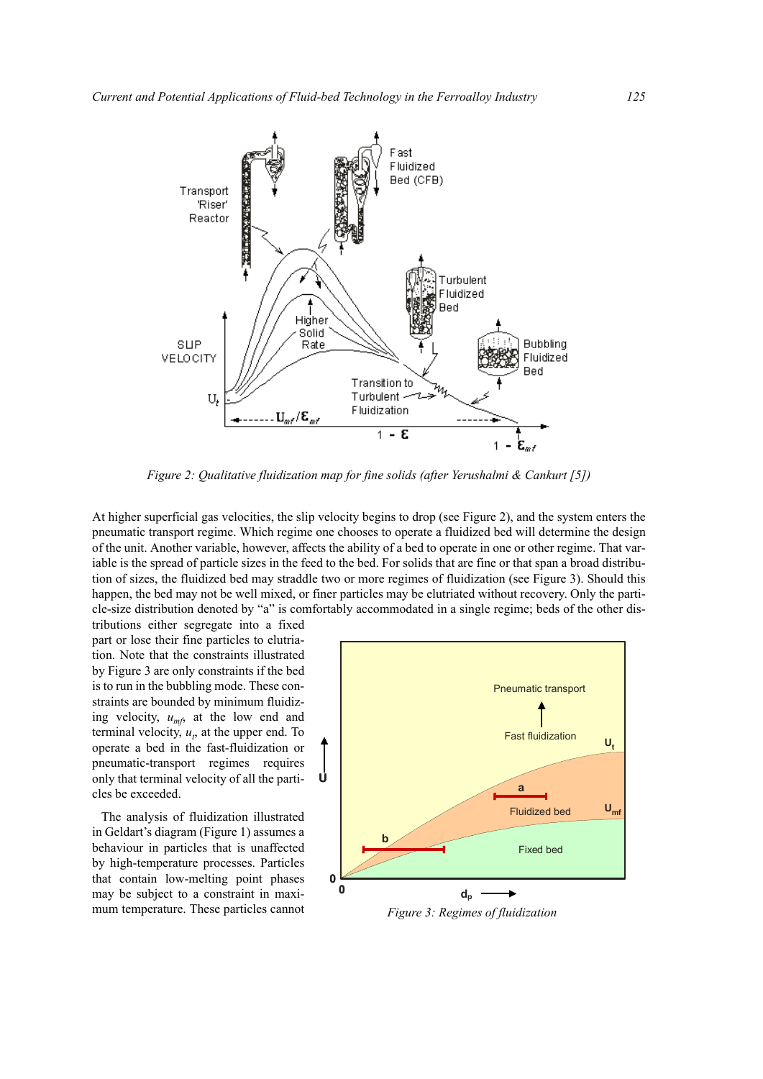

*Figure 2: Qualitative fluidization map for fine solids (after Yerushalmi & Cankurt [5])*

At higher superficial gas velocities, the slip velocity begins to drop (see Figure 2), and the system enters the pneumatic transport regime. Which regime one chooses to operate a fluidized bed will determine the design of the unit. Another variable, however, affects the ability of a bed to operate in one or other regime. That variable is the spread of particle sizes in the feed to the bed. For solids that are fine or that span a broad distribution of sizes, the fluidized bed may straddle two or more regimes of fluidization (see Figure 3). Should this happen, the bed may not be well mixed, or finer particles may be elutriated without recovery. Only the particle-size distribution denoted by "a" is comfortably accommodated in a single regime; beds of the other dis-

tributions either segregate into a fixed part or lose their fine particles to elutriation. Note that the constraints illustrated by Figure 3 are only constraints if the bed is to run in the bubbling mode. These constraints are bounded by minimum fluidizing velocity,  $u_{mfs}$  at the low end and terminal velocity,  $u_t$ , at the upper end. To operate a bed in the fast-fluidization or pneumatic-transport regimes requires only that terminal velocity of all the particles be exceeded.

The analysis of fluidization illustrated in Geldart's diagram (Figure 1) assumes a behaviour in particles that is unaffected by high-temperature processes. Particles that contain low-melting point phases may be subject to a constraint in maximum temperature. These particles cannot



*Figure 3: Regimes of fluidization*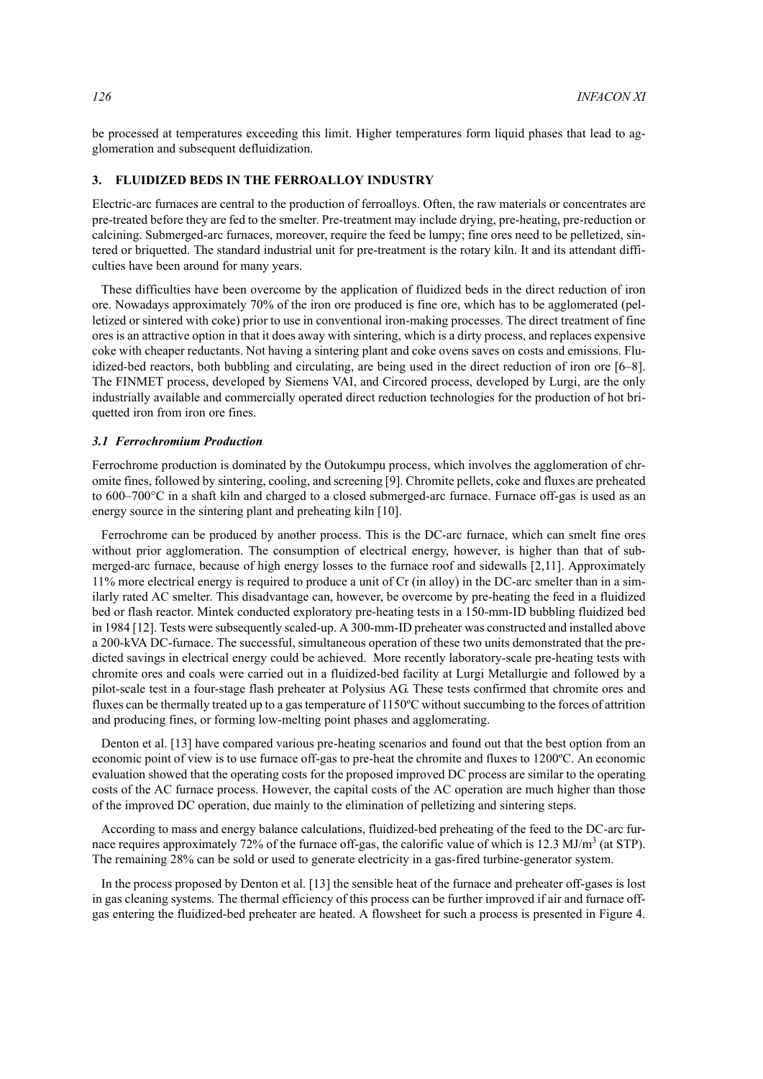be processed at temperatures exceeding this limit. Higher temperatures form liquid phases that lead to agglomeration and subsequent defluidization.

## **3. FLUIDIZED BEDS IN THE FERROALLOY INDUSTRY**

Electric-arc furnaces are central to the production of ferroalloys. Often, the raw materials or concentrates are pre-treated before they are fed to the smelter. Pre-treatment may include drying, pre-heating, pre-reduction or calcining. Submerged-arc furnaces, moreover, require the feed be lumpy; fine ores need to be pelletized, sintered or briquetted. The standard industrial unit for pre-treatment is the rotary kiln. It and its attendant difficulties have been around for many years.

These difficulties have been overcome by the application of fluidized beds in the direct reduction of iron ore. Nowadays approximately 70% of the iron ore produced is fine ore, which has to be agglomerated (pelletized or sintered with coke) prior to use in conventional iron-making processes. The direct treatment of fine ores is an attractive option in that it does away with sintering, which is a dirty process, and replaces expensive coke with cheaper reductants. Not having a sintering plant and coke ovens saves on costs and emissions. Fluidized-bed reactors, both bubbling and circulating, are being used in the direct reduction of iron ore [6–8]. The FINMET process, developed by Siemens VAI, and Circored process, developed by Lurgi, are the only industrially available and commercially operated direct reduction technologies for the production of hot briquetted iron from iron ore fines.

#### *3.1 Ferrochromium Production*

Ferrochrome production is dominated by the Outokumpu process, which involves the agglomeration of chromite fines, followed by sintering, cooling, and screening [9]. Chromite pellets, coke and fluxes are preheated to 600–700°C in a shaft kiln and charged to a closed submerged-arc furnace. Furnace off-gas is used as an energy source in the sintering plant and preheating kiln [10].

Ferrochrome can be produced by another process. This is the DC-arc furnace, which can smelt fine ores without prior agglomeration. The consumption of electrical energy, however, is higher than that of submerged-arc furnace, because of high energy losses to the furnace roof and sidewalls [2,11]. Approximately 11% more electrical energy is required to produce a unit of Cr (in alloy) in the DC-arc smelter than in a similarly rated AC smelter. This disadvantage can, however, be overcome by pre-heating the feed in a fluidized bed or flash reactor. Mintek conducted exploratory pre-heating tests in a 150-mm-ID bubbling fluidized bed in 1984 [12]. Tests were subsequently scaled-up. A 300-mm-ID preheater was constructed and installed above a 200-kVA DC-furnace. The successful, simultaneous operation of these two units demonstrated that the predicted savings in electrical energy could be achieved. More recently laboratory-scale pre-heating tests with chromite ores and coals were carried out in a fluidized-bed facility at Lurgi Metallurgie and followed by a pilot-scale test in a four-stage flash preheater at Polysius AG. These tests confirmed that chromite ores and fluxes can be thermally treated up to a gas temperature of 1150ºC without succumbing to the forces of attrition and producing fines, or forming low-melting point phases and agglomerating.

Denton et al. [13] have compared various pre-heating scenarios and found out that the best option from an economic point of view is to use furnace off-gas to pre-heat the chromite and fluxes to 1200ºC. An economic evaluation showed that the operating costs for the proposed improved DC process are similar to the operating costs of the AC furnace process. However, the capital costs of the AC operation are much higher than those of the improved DC operation, due mainly to the elimination of pelletizing and sintering steps.

According to mass and energy balance calculations, fluidized-bed preheating of the feed to the DC-arc furnace requires approximately 72% of the furnace off-gas, the calorific value of which is 12.3 MJ/m<sup>3</sup> (at STP). The remaining 28% can be sold or used to generate electricity in a gas-fired turbine-generator system.

In the process proposed by Denton et al. [13] the sensible heat of the furnace and preheater off-gases is lost in gas cleaning systems. The thermal efficiency of this process can be further improved if air and furnace offgas entering the fluidized-bed preheater are heated. A flowsheet for such a process is presented in Figure 4.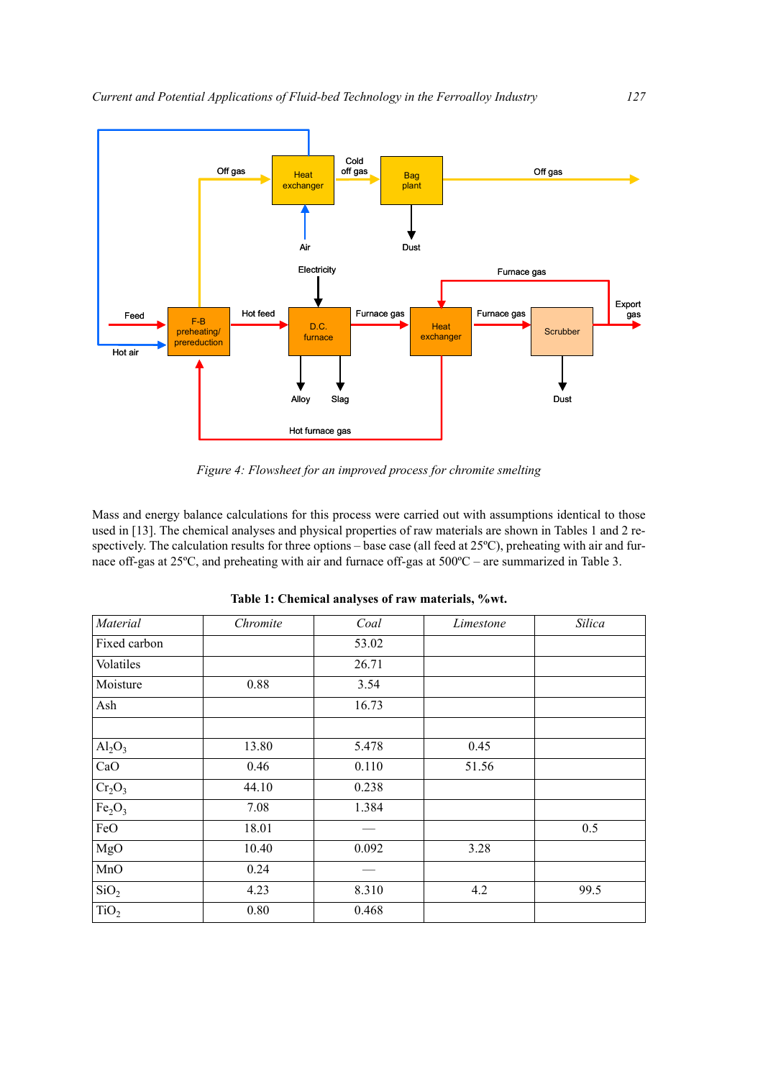

*Figure 4: Flowsheet for an improved process for chromite smelting*

Mass and energy balance calculations for this process were carried out with assumptions identical to those used in [13]. The chemical analyses and physical properties of raw materials are shown in Tables 1 and 2 respectively. The calculation results for three options – base case (all feed at 25°C), preheating with air and furnace off-gas at 25ºC, and preheating with air and furnace off-gas at 500ºC – are summarized in Table 3.

| Material                       | Chromite | Coal  | Limestone | Silica |
|--------------------------------|----------|-------|-----------|--------|
| Fixed carbon                   |          | 53.02 |           |        |
| Volatiles                      |          | 26.71 |           |        |
| Moisture                       | 0.88     | 3.54  |           |        |
| Ash                            |          | 16.73 |           |        |
| $Al_2O_3$                      | 13.80    | 5.478 | 0.45      |        |
| CaO                            | 0.46     | 0.110 | 51.56     |        |
| $Cr_2O_3$                      | 44.10    | 0.238 |           |        |
| Fe <sub>2</sub> O <sub>3</sub> | 7.08     | 1.384 |           |        |
| FeO                            | 18.01    |       |           | 0.5    |
| MgO                            | 10.40    | 0.092 | 3.28      |        |
| MnO                            | 0.24     |       |           |        |
| SiO <sub>2</sub>               | 4.23     | 8.310 | 4.2       | 99.5   |
| TiO <sub>2</sub>               | 0.80     | 0.468 |           |        |

**Table 1: Chemical analyses of raw materials, %wt.**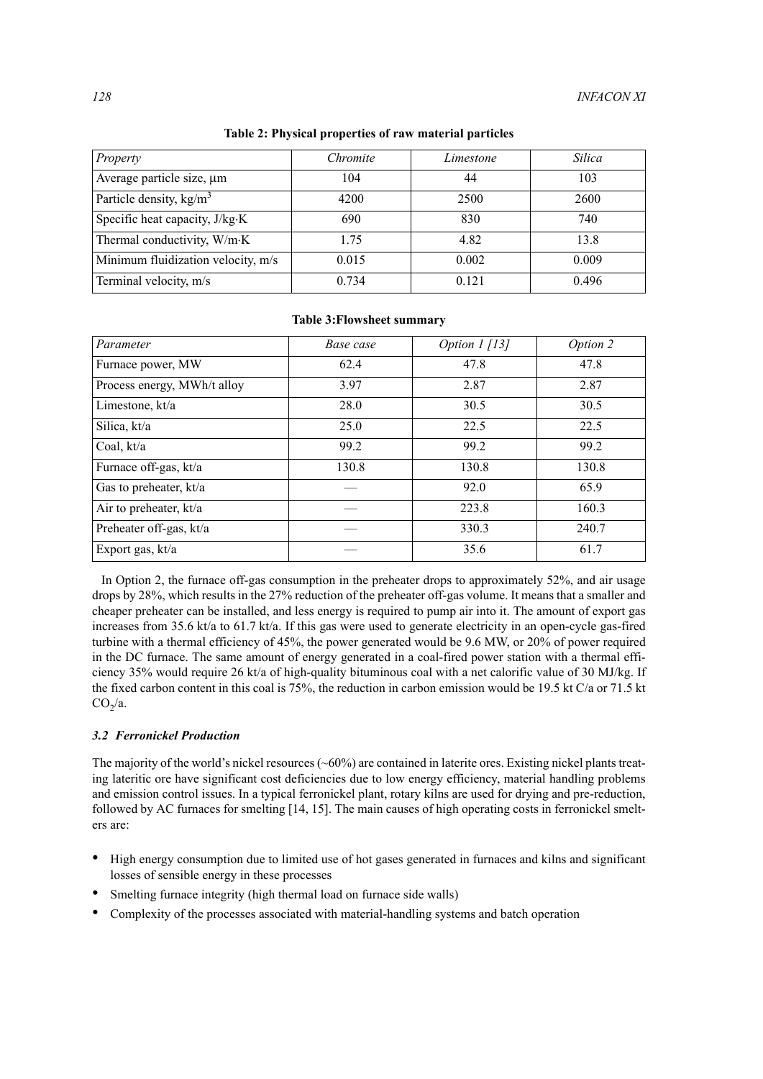| Property                           | Chromite | Limestone | Silica |
|------------------------------------|----------|-----------|--------|
| Average particle size, um          | 104      | 44        | 103    |
| Particle density, $\text{kg/m}^3$  | 4200     | 2500      | 2600   |
| Specific heat capacity, J/kg·K     | 690      | 830       | 740    |
| Thermal conductivity, W/m·K        | 1.75     | 4.82      | 13.8   |
| Minimum fluidization velocity, m/s | 0.015    | 0.002     | 0.009  |
| Terminal velocity, m/s             | 0.734    | 0.121     | 0.496  |

**Table 2: Physical properties of raw material particles**

| Parameter                   | Base case | Option 1 [13] | Option 2 |
|-----------------------------|-----------|---------------|----------|
| Furnace power, MW           | 62.4      | 47.8          | 47.8     |
| Process energy, MWh/t alloy | 3.97      | 2.87          | 2.87     |
| Limestone, kt/a             | 28.0      | 30.5          | 30.5     |
| Silica, kt/a                | 25.0      | 22.5          | 22.5     |
| Coal, kt/a                  | 99.2      | 99.2          | 99.2     |
| Furnace off-gas, kt/a       | 130.8     | 130.8         | 130.8    |
| Gas to preheater, kt/a      |           | 92.0          | 65.9     |
| Air to preheater, kt/a      |           | 223.8         | 160.3    |
| Preheater off-gas, kt/a     |           | 330.3         | 240.7    |
| Export gas, kt/a            |           | 35.6          | 61.7     |

#### **Table 3:Flowsheet summary**

In Option 2, the furnace off-gas consumption in the preheater drops to approximately 52%, and air usage drops by 28%, which results in the 27% reduction of the preheater off-gas volume. It means that a smaller and cheaper preheater can be installed, and less energy is required to pump air into it. The amount of export gas increases from 35.6 kt/a to 61.7 kt/a. If this gas were used to generate electricity in an open-cycle gas-fired turbine with a thermal efficiency of 45%, the power generated would be 9.6 MW, or 20% of power required in the DC furnace. The same amount of energy generated in a coal-fired power station with a thermal efficiency 35% would require 26 kt/a of high-quality bituminous coal with a net calorific value of 30 MJ/kg. If the fixed carbon content in this coal is 75%, the reduction in carbon emission would be 19.5 kt C/a or 71.5 kt  $CO<sub>2</sub>/a$ .

## *3.2 Ferronickel Production*

The majority of the world's nickel resources (~60%) are contained in laterite ores. Existing nickel plants treating lateritic ore have significant cost deficiencies due to low energy efficiency, material handling problems and emission control issues. In a typical ferronickel plant, rotary kilns are used for drying and pre-reduction, followed by AC furnaces for smelting [14, 15]. The main causes of high operating costs in ferronickel smelters are:

- High energy consumption due to limited use of hot gases generated in furnaces and kilns and significant losses of sensible energy in these processes
- Smelting furnace integrity (high thermal load on furnace side walls)
- Complexity of the processes associated with material-handling systems and batch operation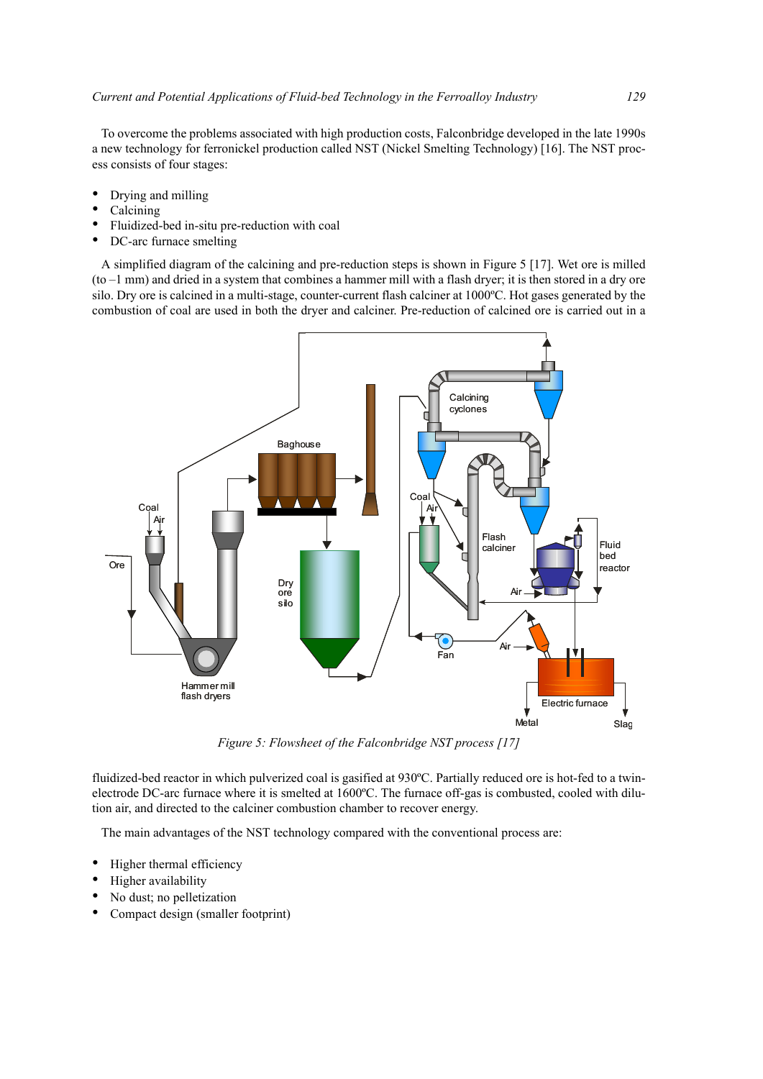To overcome the problems associated with high production costs, Falconbridge developed in the late 1990s a new technology for ferronickel production called NST (Nickel Smelting Technology) [16]. The NST process consists of four stages:

- Drying and milling
- Calcining
- Fluidized-bed in-situ pre-reduction with coal
- DC-arc furnace smelting

A simplified diagram of the calcining and pre-reduction steps is shown in Figure 5 [17]. Wet ore is milled (to –1 mm) and dried in a system that combines a hammer mill with a flash dryer; it is then stored in a dry ore silo. Dry ore is calcined in a multi-stage, counter-current flash calciner at 1000ºC. Hot gases generated by the combustion of coal are used in both the dryer and calciner. Pre-reduction of calcined ore is carried out in a



*Figure 5: Flowsheet of the Falconbridge NST process [17]*

fluidized-bed reactor in which pulverized coal is gasified at 930ºC. Partially reduced ore is hot-fed to a twinelectrode DC-arc furnace where it is smelted at 1600ºC. The furnace off-gas is combusted, cooled with dilution air, and directed to the calciner combustion chamber to recover energy.

The main advantages of the NST technology compared with the conventional process are:

- Higher thermal efficiency
- Higher availability
- No dust; no pelletization
- Compact design (smaller footprint)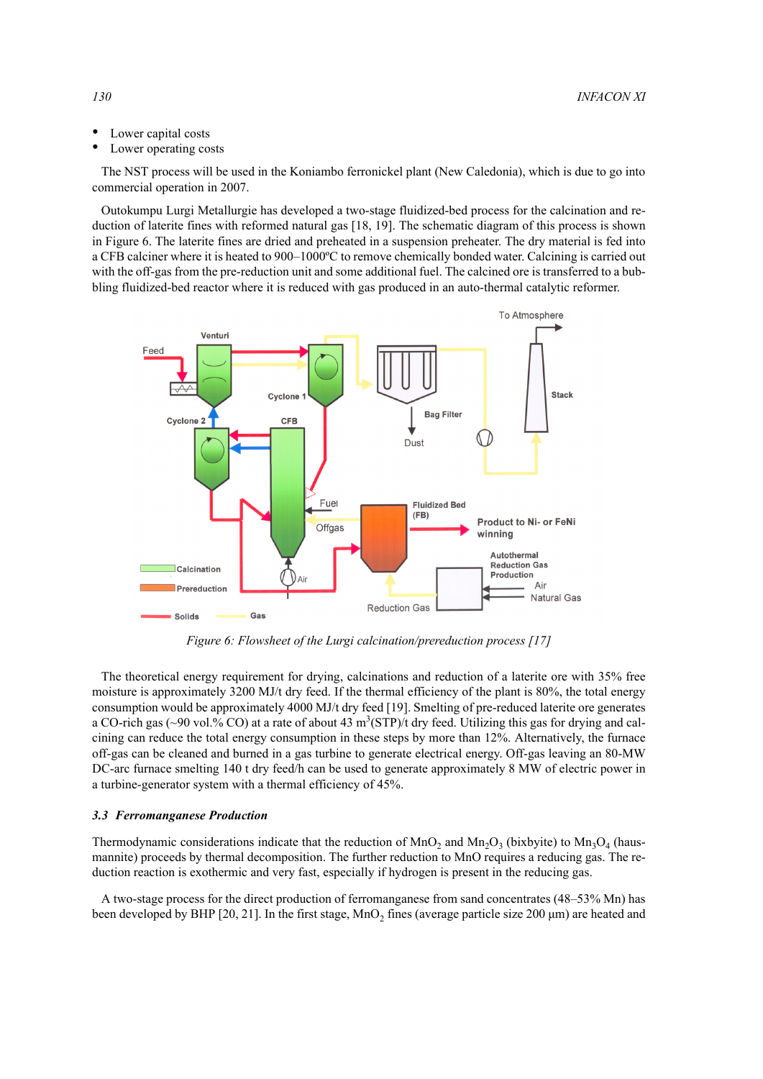- Lower capital costs
- Lower operating costs

The NST process will be used in the Koniambo ferronickel plant (New Caledonia), which is due to go into commercial operation in 2007.

Outokumpu Lurgi Metallurgie has developed a two-stage fluidized-bed process for the calcination and reduction of laterite fines with reformed natural gas [18, 19]. The schematic diagram of this process is shown in Figure 6. The laterite fines are dried and preheated in a suspension preheater. The dry material is fed into a CFB calciner where it is heated to 900–1000ºC to remove chemically bonded water. Calcining is carried out with the off-gas from the pre-reduction unit and some additional fuel. The calcined ore is transferred to a bubbling fluidized-bed reactor where it is reduced with gas produced in an auto-thermal catalytic reformer.



*Figure 6: Flowsheet of the Lurgi calcination/prereduction process [17]*

The theoretical energy requirement for drying, calcinations and reduction of a laterite ore with 35% free moisture is approximately 3200 MJ/t dry feed. If the thermal efficiency of the plant is 80%, the total energy consumption would be approximately 4000 MJ/t dry feed [19]. Smelting of pre-reduced laterite ore generates a CO-rich gas (~90 vol.% CO) at a rate of about 43  $m^3(STP)/t$  dry feed. Utilizing this gas for drying and calcining can reduce the total energy consumption in these steps by more than 12%. Alternatively, the furnace off-gas can be cleaned and burned in a gas turbine to generate electrical energy. Off-gas leaving an 80-MW DC-arc furnace smelting 140 t dry feed/h can be used to generate approximately 8 MW of electric power in a turbine-generator system with a thermal efficiency of 45%.

#### *3.3 Ferromanganese Production*

Thermodynamic considerations indicate that the reduction of  $MnO_2$  and  $Mn<sub>2</sub>O_3$  (bixbyite) to  $Mn<sub>3</sub>O_4$  (hausmannite) proceeds by thermal decomposition. The further reduction to MnO requires a reducing gas. The reduction reaction is exothermic and very fast, especially if hydrogen is present in the reducing gas.

A two-stage process for the direct production of ferromanganese from sand concentrates (48–53% Mn) has been developed by BHP [20, 21]. In the first stage,  $MnO<sub>2</sub>$  fines (average particle size 200 µm) are heated and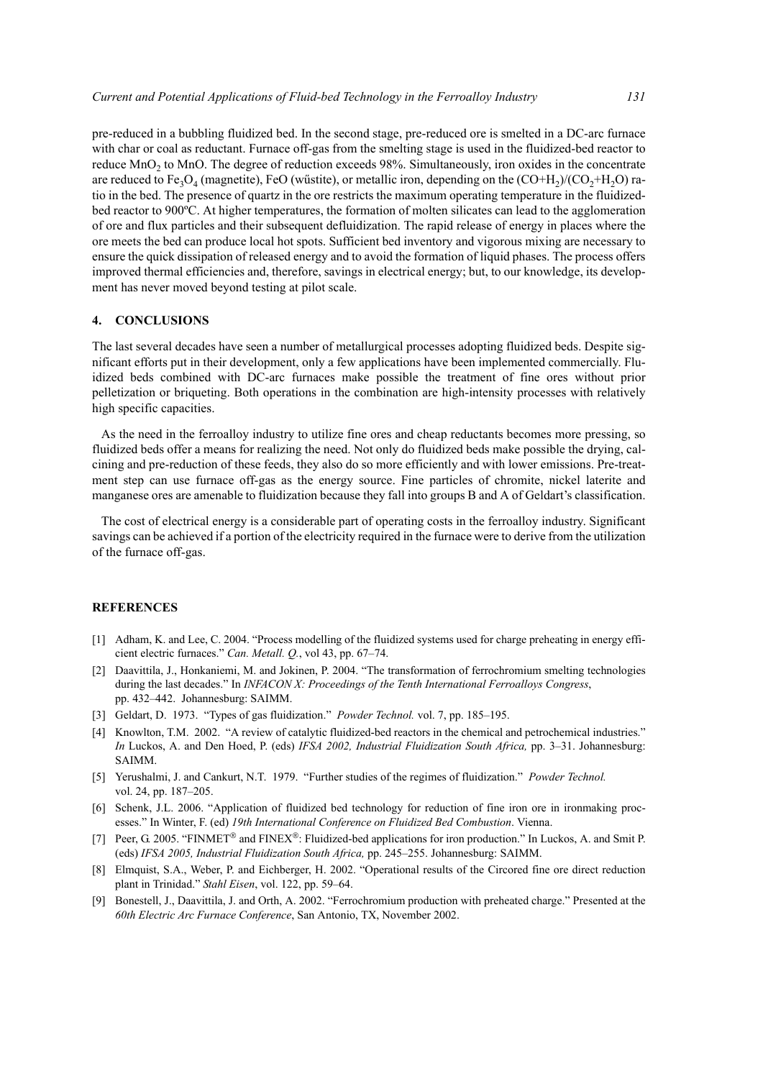pre-reduced in a bubbling fluidized bed. In the second stage, pre-reduced ore is smelted in a DC-arc furnace with char or coal as reductant. Furnace off-gas from the smelting stage is used in the fluidized-bed reactor to reduce MnO2 to MnO. The degree of reduction exceeds 98%. Simultaneously, iron oxides in the concentrate are reduced to Fe<sub>3</sub>O<sub>4</sub> (magnetite), FeO (wűstite), or metallic iron, depending on the (CO+H<sub>2</sub>)/(CO<sub>2</sub>+H<sub>2</sub>O) ratio in the bed. The presence of quartz in the ore restricts the maximum operating temperature in the fluidizedbed reactor to 900ºC. At higher temperatures, the formation of molten silicates can lead to the agglomeration of ore and flux particles and their subsequent defluidization. The rapid release of energy in places where the ore meets the bed can produce local hot spots. Sufficient bed inventory and vigorous mixing are necessary to ensure the quick dissipation of released energy and to avoid the formation of liquid phases. The process offers improved thermal efficiencies and, therefore, savings in electrical energy; but, to our knowledge, its development has never moved beyond testing at pilot scale.

## **4. CONCLUSIONS**

The last several decades have seen a number of metallurgical processes adopting fluidized beds. Despite significant efforts put in their development, only a few applications have been implemented commercially. Fluidized beds combined with DC-arc furnaces make possible the treatment of fine ores without prior pelletization or briqueting. Both operations in the combination are high-intensity processes with relatively high specific capacities.

As the need in the ferroalloy industry to utilize fine ores and cheap reductants becomes more pressing, so fluidized beds offer a means for realizing the need. Not only do fluidized beds make possible the drying, calcining and pre-reduction of these feeds, they also do so more efficiently and with lower emissions. Pre-treatment step can use furnace off-gas as the energy source. Fine particles of chromite, nickel laterite and manganese ores are amenable to fluidization because they fall into groups B and A of Geldart's classification.

The cost of electrical energy is a considerable part of operating costs in the ferroalloy industry. Significant savings can be achieved if a portion of the electricity required in the furnace were to derive from the utilization of the furnace off-gas.

## **REFERENCES**

- [1] Adham, K. and Lee, C. 2004. "Process modelling of the fluidized systems used for charge preheating in energy efficient electric furnaces." *Can. Metall. Q.*, vol 43, pp. 67–74.
- [2] Daavittila, J., Honkaniemi, M. and Jokinen, P. 2004. "The transformation of ferrochromium smelting technologies during the last decades." In *INFACON X: Proceedings of the Tenth International Ferroalloys Congress*, pp. 432–442. Johannesburg: SAIMM.
- [3] Geldart, D. 1973. "Types of gas fluidization." *Powder Technol.* vol. 7, pp. 185–195.
- [4] Knowlton, T.M. 2002. "A review of catalytic fluidized-bed reactors in the chemical and petrochemical industries." *In* Luckos, A. and Den Hoed, P. (eds) *IFSA 2002, Industrial Fluidization South Africa,* pp. 3–31. Johannesburg: SAIMM.
- [5] Yerushalmi, J. and Cankurt, N.T. 1979. "Further studies of the regimes of fluidization." *Powder Technol.* vol. 24, pp. 187–205.
- [6] Schenk, J.L. 2006. "Application of fluidized bed technology for reduction of fine iron ore in ironmaking processes." In Winter, F. (ed) *19th International Conference on Fluidized Bed Combustion*. Vienna.
- [7] Peer, G. 2005. "FINMET<sup>®</sup> and FINEX<sup>®</sup>: Fluidized-bed applications for iron production." In Luckos, A. and Smit P. (eds) *IFSA 2005, Industrial Fluidization South Africa,* pp. 245–255. Johannesburg: SAIMM.
- [8] Elmquist, S.A., Weber, P. and Eichberger, H. 2002. "Operational results of the Circored fine ore direct reduction plant in Trinidad." *Stahl Eisen*, vol. 122, pp. 59–64.
- [9] Bonestell, J., Daavittila, J. and Orth, A. 2002. "Ferrochromium production with preheated charge." Presented at the *60th Electric Arc Furnace Conference*, San Antonio, TX, November 2002.